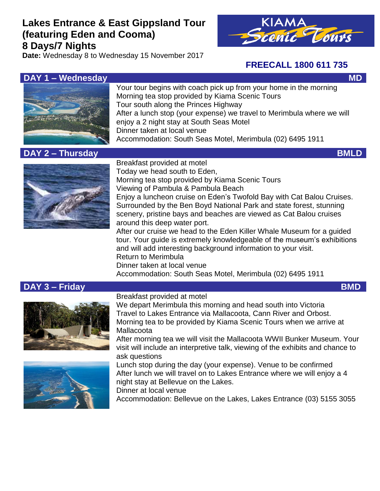# **Lakes Entrance & East Gippsland Tour (featuring Eden and Cooma) 8 Days/7 Nights**

**Date:** Wednesday 8 to Wednesday 15 November 2017



## **FREECALL 1800 611 735**



Your tour begins with coach pick up from your home in the morning Morning tea stop provided by Kiama Scenic Tours Tour south along the Princes Highway After a lunch stop (your expense) we travel to Merimbula where we will enjoy a 2 night stay at South Seas Motel Dinner taken at local venue Accommodation: South Seas Motel, Merimbula (02) 6495 1911

# **DAY 2 – Thursday BMLD**



Breakfast provided at motel Today we head south to Eden, Morning tea stop provided by Kiama Scenic Tours Viewing of Pambula & Pambula Beach Enjoy a luncheon cruise on Eden's Twofold Bay with Cat Balou Cruises. Surrounded by the Ben Boyd National Park and state forest, stunning scenery, pristine bays and beaches are viewed as Cat Balou cruises around this deep water port. After our cruise we head to the Eden Killer Whale Museum for a guided tour. Your guide is extremely knowledgeable of the museum's exhibitions and will add interesting background information to your visit. Return to Merimbula Dinner taken at local venue Accommodation: South Seas Motel, Merimbula (02) 6495 1911

## **DAY 3 – Friday BMD**





We depart Merimbula this morning and head south into Victoria Travel to Lakes Entrance via Mallacoota, Cann River and Orbost. Morning tea to be provided by Kiama Scenic Tours when we arrive at **Mallacoota** 

After morning tea we will visit the Mallacoota WWII Bunker Museum. Your visit will include an interpretive talk, viewing of the exhibits and chance to ask questions

Lunch stop during the day (your expense). Venue to be confirmed After lunch we will travel on to Lakes Entrance where we will enjoy a 4 night stay at Bellevue on the Lakes.

Dinner at local venue

Accommodation: Bellevue on the Lakes, Lakes Entrance (03) 5155 3055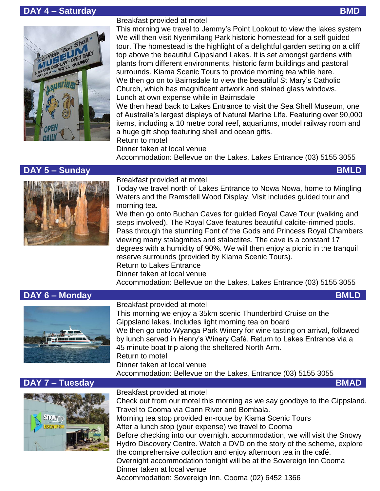## **DAY 4 – Saturday BMD**



Breakfast provided at motel

This morning we travel to Jemmy's Point Lookout to view the lakes system We will then visit Nyerimilang Park historic homestead for a self guided tour. The homestead is the highlight of a delightful garden setting on a cliff top above the beautiful Gippsland Lakes. It is set amongst gardens with plants from different environments, historic farm buildings and pastoral surrounds. Kiama Scenic Tours to provide morning tea while here. We then go on to Bairnsdale to view the beautiful St Mary's Catholic Church, which has magnificent artwork and stained glass windows. Lunch at own expense while in Bairnsdale

We then head back to Lakes Entrance to visit the Sea Shell Museum, one of Australia's largest displays of Natural Marine Life. Featuring over 90,000 items, including a 10 metre coral reef, aquariums, model railway room and a huge gift shop featuring shell and ocean gifts.

Return to motel

Dinner taken at local venue Accommodation: Bellevue on the Lakes, Lakes Entrance (03) 5155 3055

#### **DAY 5 – Sunday BMLD**



Breakfast provided at motel

Today we travel north of Lakes Entrance to Nowa Nowa, home to Mingling Waters and the Ramsdell Wood Display. Visit includes guided tour and morning tea.

We then go onto Buchan Caves for guided Royal Cave Tour (walking and steps involved). The Royal Cave features beautiful calcite-rimmed pools. Pass through the stunning Font of the Gods and Princess Royal Chambers viewing many stalagmites and stalactites. The cave is a constant 17 degrees with a humidity of 90%. We will then enjoy a picnic in the tranquil reserve surrounds (provided by Kiama Scenic Tours). Return to Lakes Entrance Dinner taken at local venue

Accommodation: Bellevue on the Lakes, Lakes Entrance (03) 5155 3055

## **DAY 6 – Monday BMLD**



#### Breakfast provided at motel

This morning we enjoy a 35km scenic Thunderbird Cruise on the Gippsland lakes. Includes light morning tea on board We then go onto Wyanga Park Winery for wine tasting on arrival, followed by lunch served in Henry's Winery Café. Return to Lakes Entrance via a 45 minute boat trip along the sheltered North Arm. Return to motel Dinner taken at local venue

Accommodation: Bellevue on the Lakes, Entrance (03) 5155 3055

## **DAY 7 – Tuesday BMAD**



#### Breakfast provided at motel

Check out from our motel this morning as we say goodbye to the Gippsland. Travel to Cooma via Cann River and Bombala. Morning tea stop provided en-route by Kiama Scenic Tours After a lunch stop (your expense) we travel to Cooma Before checking into our overnight accommodation, we will visit the Snowy Hydro Discovery Centre. Watch a DVD on the story of the scheme, explore the comprehensive collection and enjoy afternoon tea in the café. Overnight accommodation tonight will be at the Sovereign Inn Cooma Dinner taken at local venue Accommodation: Sovereign Inn, Cooma (02) 6452 1366